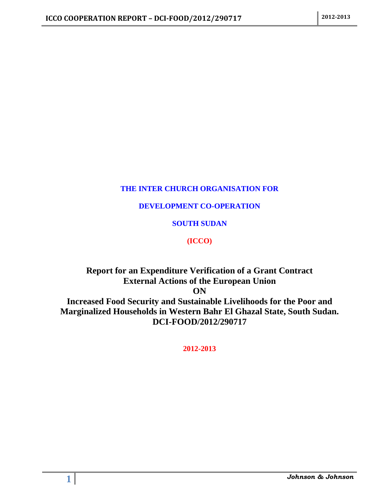## **THE INTER CHURCH ORGANISATION FOR**

## **DEVELOPMENT CO-OPERATION**

## **SOUTH SUDAN**

## **(ICCO)**

## **Report for an Expenditure Verification of a Grant Contract External Actions of the European Union ON Increased Food Security and Sustainable Livelihoods for the Poor and Marginalized Households in Western Bahr El Ghazal State, South Sudan. DCI-FOOD/2012/290717**

**2012-2013**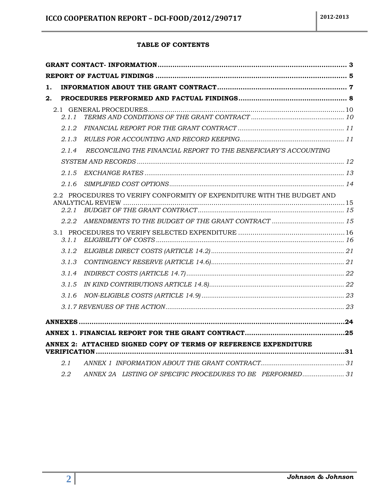#### **TABLE OF CONTENTS**

| 1. |       |                                                                        |  |
|----|-------|------------------------------------------------------------------------|--|
| 2. |       |                                                                        |  |
|    | 2.1.1 |                                                                        |  |
|    | 2.1.2 |                                                                        |  |
|    | 2.1.3 |                                                                        |  |
|    | 2.1.4 | RECONCILING THE FINANCIAL REPORT TO THE BENEFICIARY'S ACCOUNTING       |  |
|    |       |                                                                        |  |
|    | 2.1.5 |                                                                        |  |
|    | 2.1.6 |                                                                        |  |
|    | 2.2.1 | 2.2 PROCEDURES TO VERIFY CONFORMITY OF EXPENDITURE WITH THE BUDGET AND |  |
|    | 2.2.2 |                                                                        |  |
|    | 3.1.1 |                                                                        |  |
|    | 3.1.2 |                                                                        |  |
|    | 3.1.3 |                                                                        |  |
|    | 3.1.4 |                                                                        |  |
|    | 3.1.5 |                                                                        |  |
|    | 3.1.6 |                                                                        |  |
|    |       |                                                                        |  |
|    |       |                                                                        |  |
|    |       |                                                                        |  |
|    |       | ANNEX 2: ATTACHED SIGNED COPY OF TERMS OF REFERENCE EXPENDITURE        |  |
|    | 2.1   |                                                                        |  |
|    | 2.2   | ANNEX 2A LISTING OF SPECIFIC PROCEDURES TO BE PERFORMED 31             |  |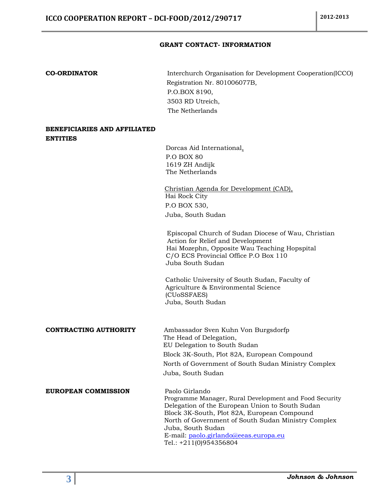#### **GRANT CONTACT- INFORMATION**

<span id="page-2-0"></span>**CO-ORDINATOR** Interchurch Organisation for Development Cooperation(ICCO) Registration Nr. 801006077B, P.O.BOX 8190, 3503 RD Utreich, The Netherlands

#### **BENEFICIARIES AND AFFILIATED ENTITIES**

 Dorcas Aid International, P.O BOX 80 1619 ZH Andijk The Netherlands

 Christian Agenda for Development (CAD), Hai Rock City P.O BOX 530, Juba, South Sudan

 Episcopal Church of Sudan Diocese of Wau, Christian Action for Relief and Development Hai Mozephn, Opposite Wau Teaching Hopspital C/O ECS Provincial Office P.O Box 110 Juba South Sudan

Catholic University of South Sudan, Faculty of Agriculture & Environmental Science (CUoSSFAES) Juba, South Sudan

#### **CONTRACTING AUTHORITY** Ambassador Sven Kuhn Von Burgsdorfp

 The Head of Delegation, EU Delegation to South Sudan Block 3K-South, Plot 82A, European Compound North of Government of South Sudan Ministry Complex Juba, South Sudan

#### **EUROPEAN COMMISSION** Paolo Girlando

 Programme Manager, Rural Development and Food Security Delegation of the European Union to South Sudan Block 3K-South, Plot 82A, European Compound North of Government of South Sudan Ministry Complex Juba, South Sudan E-mail: [paolo.girlando@eeas.europa.eu](mailto:paolo.girlando@eeas.europa.eu) Tel.: +211(0)954356804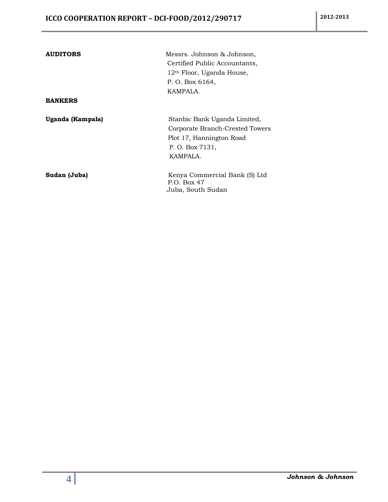| <b>AUDITORS</b>  | Messrs. Johnson & Johnson,            |
|------------------|---------------------------------------|
|                  | Certified Public Accountants,         |
|                  | 12 <sup>th</sup> Floor, Uganda House, |
|                  | P. O. Box 6164,                       |
|                  | KAMPALA.                              |
| <b>BANKERS</b>   |                                       |
| Uganda (Kampala) | Stanbic Bank Uganda Limited,          |
|                  | Corporate Branch-Crested Towers       |
|                  | Plot 17, Hannington Road              |
|                  | P. O. Box 7131,                       |
|                  | KAMPALA.                              |
| Sudan (Juba)     | Kenya Commercial Bank (S) Ltd         |
|                  | P.O. Box 47                           |
|                  | Juba, South Sudan                     |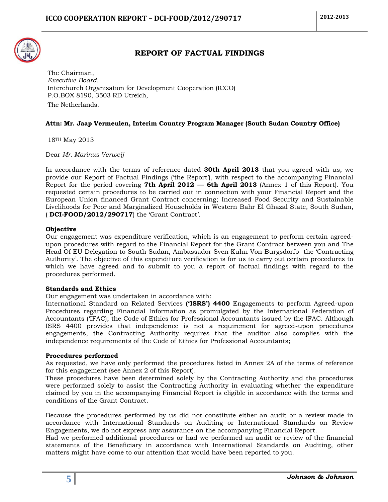

### **REPORT OF FACTUAL FINDINGS**

<span id="page-4-0"></span>The Chairman, *Executive Board,* Interchurch Organisation for Development Cooperation (ICCO) P.O.BOX 8190, 3503 RD Utreich, The Netherlands.

#### **Attn: Mr. Jaap Vermeulen, Interim Country Program Manager (South Sudan Country Office)**

18TH May 2013

Dear *Mr. Marinus Verweij*

In accordance with the terms of reference dated **30th April 2013** that you agreed with us, we provide our Report of Factual Findings ('the Report'), with respect to the accompanying Financial Report for the period covering **7th April 2012 — 6th April 2013** (Annex 1 of this Report). You requested certain procedures to be carried out in connection with your Financial Report and the European Union financed Grant Contract concerning; Increased Food Security and Sustainable Livelihoods for Poor and Marginalized Households in Western Bahr El Ghazal State, South Sudan, ( **DCI-FOOD/2012/290717**) the 'Grant Contract'.

#### **Objective**

Our engagement was expenditure verification, which is an engagement to perform certain agreedupon procedures with regard to the Financial Report for the Grant Contract between you and The Head Of EU Delegation to South Sudan, Ambassador Sven Kuhn Von Burgsdorfp the 'Contracting Authority'. The objective of this expenditure verification is for us to carry out certain procedures to which we have agreed and to submit to you a report of factual findings with regard to the procedures performed.

#### **Standards and Ethics**

Our engagement was undertaken in accordance with:

International Standard on Related Services **('ISRS') 4400** Engagements to perform Agreed-upon Procedures regarding Financial Information as promulgated by the International Federation of Accountants ('IFAC); the Code of Ethics for Professional Accountants issued by the IFAC. Although ISRS 4400 provides that independence is not a requirement for agreed-upon procedures engagements, the Contracting Authority requires that the auditor also complies with the independence requirements of the Code of Ethics for Professional Accountants;

#### **Procedures performed**

As requested, we have only performed the procedures listed in Annex 2A of the terms of reference for this engagement (see Annex 2 of this Report).

These procedures have been determined solely by the Contracting Authority and the procedures were performed solely to assist the Contracting Authority in evaluating whether the expenditure claimed by you in the accompanying Financial Report is eligible in accordance with the terms and conditions of the Grant Contract.

Because the procedures performed by us did not constitute either an audit or a review made in accordance with International Standards on Auditing or International Standards on Review Engagements, we do not express any assurance on the accompanying Financial Report.

Had we performed additional procedures or had we performed an audit or review of the financial statements of the Beneficiary in accordance with International Standards on Auditing, other matters might have come to our attention that would have been reported to you.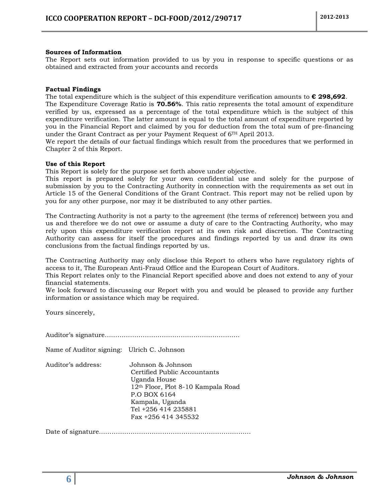#### **Sources of Information**

The Report sets out information provided to us by you in response to specific questions or as obtained and extracted from your accounts and records

#### **Factual Findings**

The total expenditure which is the subject of this expenditure verification amounts to **€ 298,692**. The Expenditure Coverage Ratio is **70.56%**. This ratio represents the total amount of expenditure verified by us, expressed as a percentage of the total expenditure which is the subject of this expenditure verification. The latter amount is equal to the total amount of expenditure reported by you in the Financial Report and claimed by you for deduction from the total sum of pre-financing under the Grant Contract as per your Payment Request of 6TH April 2013.

We report the details of our factual findings which result from the procedures that we performed in Chapter 2 of this Report.

#### **Use of this Report**

This Report is solely for the purpose set forth above under objective.

This report is prepared solely for your own confidential use and solely for the purpose of submission by you to the Contracting Authority in connection with the requirements as set out in Article 15 of the General Conditions of the Grant Contract. This report may not be relied upon by you for any other purpose, nor may it be distributed to any other parties.

The Contracting Authority is not a party to the agreement (the terms of reference) between you and us and therefore we do not owe or assume a duty of care to the Contracting Authority, who may rely upon this expenditure verification report at its own risk and discretion. The Contracting Authority can assess for itself the procedures and findings reported by us and draw its own conclusions from the factual findings reported by us.

The Contracting Authority may only disclose this Report to others who have regulatory rights of access to it, The European Anti-Fraud Office and the European Court of Auditors.

This Report relates only to the Financial Report specified above and does not extend to any of your financial statements.

We look forward to discussing our Report with you and would be pleased to provide any further information or assistance which may be required.

Yours sincerely,

Auditor's signature……………………………………………………….

Name of Auditor signing: Ulrich C. Johnson

Auditor's address: Johnson & Johnson Certified Public Accountants Uganda House 12th Floor, Plot 8-10 Kampala Road P.O BOX 6164 Kampala, Uganda Tel +256 414 235881 Fax +256 414 345532

Date of signature………………………………………………………………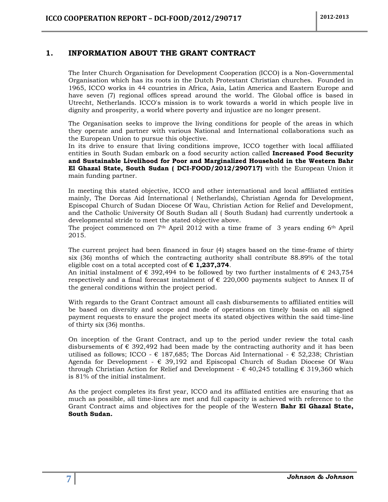#### <span id="page-6-0"></span>**1. INFORMATION ABOUT THE GRANT CONTRACT**

The Inter Church Organisation for Development Cooperation (ICCO) is a Non-Governmental Organisation which has its roots in the Dutch Protestant Christian churches. Founded in 1965, ICCO works in 44 countries in Africa, Asia, Latin America and Eastern Europe and have seven (7) regional offices spread around the world. The Global office is based in Utrecht, Netherlands. ICCO's mission is to work towards a world in which people live in dignity and prosperity, a world where poverty and injustice are no longer present.

The Organisation seeks to improve the living conditions for people of the areas in which they operate and partner with various National and International collaborations such as the European Union to pursue this objective.

In its drive to ensure that living conditions improve, ICCO together with local affiliated entities in South Sudan embark on a food security action called **Increased Food Security and Sustainable Livelihood for Poor and Marginalized Household in the Western Bahr El Ghazal State, South Sudan ( DCI-FOOD/2012/290717)** with the European Union it main funding partner.

In meeting this stated objective, ICCO and other international and local affiliated entities mainly, The Dorcas Aid International ( Netherlands), Christian Agenda for Development, Episcopal Church of Sudan Diocese Of Wau, Christian Action for Relief and Development, and the Catholic University Of South Sudan all ( South Sudan) had currently undertook a developmental stride to meet the stated objective above.

The project commenced on  $7<sup>th</sup>$  April 2012 with a time frame of 3 years ending  $6<sup>th</sup>$  April 2015.

The current project had been financed in four (4) stages based on the time-frame of thirty six (36) months of which the contracting authority shall contribute 88.89% of the total eligible cost on a total accepted cost of **€ 1,237,374**.

An initial instalment of  $\epsilon$  392,494 to be followed by two further instalments of  $\epsilon$  243,754 respectively and a final forecast instalment of  $\epsilon$  220,000 payments subject to Annex II of the general conditions within the project period.

With regards to the Grant Contract amount all cash disbursements to affiliated entities will be based on diversity and scope and mode of operations on timely basis on all signed payment requests to ensure the project meets its stated objectives within the said time-line of thirty six (36) months.

On inception of the Grant Contract, and up to the period under review the total cash disbursements of  $\epsilon$  392,492 had been made by the contracting authority and it has been utilised as follows; ICCO -  $\epsilon$  187,685; The Dorcas Aid International -  $\epsilon$  52,238; Christian Agenda for Development -  $\epsilon$  39,192 and Episcopal Church of Sudan Diocese Of Wau through Christian Action for Relief and Development -  $\epsilon$  40,245 totalling  $\epsilon$  319,360 which is 81% of the initial instalment.

As the project completes its first year, ICCO and its affiliated entities are ensuring that as much as possible, all time-lines are met and full capacity is achieved with reference to the Grant Contract aims and objectives for the people of the Western **Bahr El Ghazal State, South Sudan.**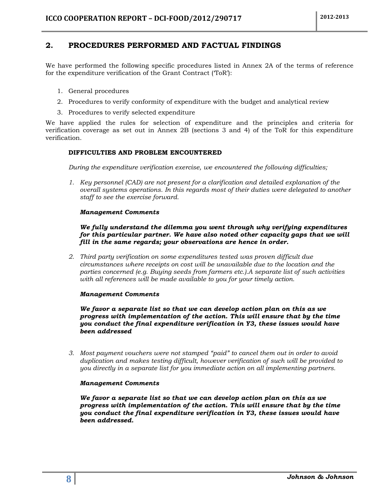### <span id="page-7-0"></span>**2. PROCEDURES PERFORMED AND FACTUAL FINDINGS**

We have performed the following specific procedures listed in Annex 2A of the terms of reference for the expenditure verification of the Grant Contract ('ToR'):

- 1. General procedures
- 2. Procedures to verify conformity of expenditure with the budget and analytical review
- 3. Procedures to verify selected expenditure

We have applied the rules for selection of expenditure and the principles and criteria for verification coverage as set out in Annex 2B (sections 3 and 4) of the ToR for this expenditure verification.

#### **DIFFICULTIES AND PROBLEM ENCOUNTERED**

*During the expenditure verification exercise, we encountered the following difficulties;*

*1. Key personnel (CAD) are not present for a clarification and detailed explanation of the overall systems operations. In this regards most of their duties were delegated to another staff to see the exercise forward.*

#### *Management Comments*

*We fully understand the dilemma you went through why verifying expenditures for this particular partner. We have also noted other capacity gaps that we will fill in the same regards; your observations are hence in order.*

*2. Third party verification on some expenditures tested was proven difficult due circumstances where receipts on cost will be unavailable due to the location and the parties concerned (e.g. Buying seeds from farmers etc.).A separate list of such activities with all references will be made available to you for your timely action.*

#### *Management Comments*

*We favor a separate list so that we can develop action plan on this as we progress with implementation of the action. This will ensure that by the time you conduct the final expenditure verification in Y3, these issues would have been addressed*

*3. Most payment vouchers were not stamped "paid" to cancel them out in order to avoid duplication and makes testing difficult, however verification of such will be provided to you directly in a separate list for you immediate action on all implementing partners.*

#### *Management Comments*

*We favor a separate list so that we can develop action plan on this as we progress with implementation of the action. This will ensure that by the time you conduct the final expenditure verification in Y3, these issues would have been addressed.*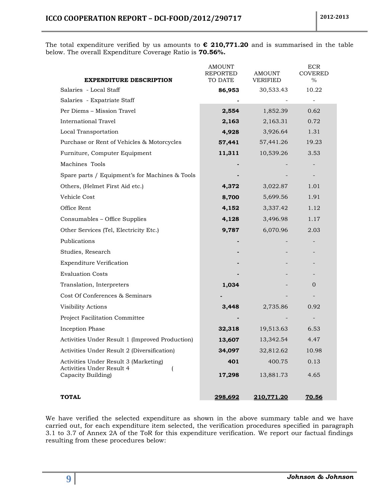The total expenditure verified by us amounts to **€ 210,771.20** and is summarised in the table below. The overall Expenditure Coverage Ratio is **70.56%.**

| <b>EXPENDITURE DESCRIPTION</b>                                     | <b>AMOUNT</b><br>REPORTED<br>TO DATE | <b>AMOUNT</b><br>VERIFIED | <b>ECR</b><br><b>COVERED</b><br>$\%$ |
|--------------------------------------------------------------------|--------------------------------------|---------------------------|--------------------------------------|
| Salaries - Local Staff                                             | 86,953                               | 30,533.43                 | 10.22                                |
| Salaries - Expatriate Staff                                        |                                      |                           |                                      |
| Per Diems - Mission Travel                                         | 2,554                                | 1,852.39                  | 0.62                                 |
| <b>International Travel</b>                                        | 2,163                                | 2,163.31                  | 0.72                                 |
| Local Transportation                                               | 4,928                                | 3,926.64                  | 1.31                                 |
| Purchase or Rent of Vehicles & Motorcycles                         | 57,441                               | 57,441.26                 | 19.23                                |
| Furniture, Computer Equipment                                      | 11,311                               | 10,539.26                 | 3.53                                 |
| Machines Tools                                                     |                                      |                           |                                      |
| Spare parts / Equipment's for Machines & Tools                     |                                      |                           |                                      |
| Others, (Helmet First Aid etc.)                                    | 4,372                                | 3,022.87                  | 1.01                                 |
| Vehicle Cost                                                       | 8,700                                | 5,699.56                  | 1.91                                 |
| Office Rent                                                        | 4,152                                | 3,337.42                  | 1.12                                 |
| Consumables - Office Supplies                                      | 4,128                                | 3,496.98                  | 1.17                                 |
| Other Services (Tel, Electricity Etc.)                             | 9,787                                | 6,070.96                  | 2.03                                 |
| Publications                                                       |                                      |                           |                                      |
| Studies, Research                                                  |                                      |                           |                                      |
| <b>Expenditure Verification</b>                                    |                                      |                           |                                      |
| <b>Evaluation Costs</b>                                            |                                      |                           |                                      |
| Translation, Interpreters                                          | 1,034                                |                           | 0                                    |
| Cost Of Conferences & Seminars                                     |                                      |                           |                                      |
| Visibility Actions                                                 | 3,448                                | 2,735.86                  | 0.92                                 |
| Project Facilitation Committee                                     |                                      |                           |                                      |
| Inception Phase                                                    | 32,318                               | 19,513.63                 | 6.53                                 |
| Activities Under Result 1 (Improved Production)                    | 13,607                               | 13,342.54                 | 4.47                                 |
| Activities Under Result 2 (Diversification)                        | 34,097                               | 32,812.62                 | 10.98                                |
| Activities Under Result 3 (Marketing)<br>Activities Under Result 4 | 401                                  | 400.75                    | 0.13                                 |
| Capacity Building)                                                 | 17,298                               | 13,881.73                 | 4.65                                 |
| <b>TOTAL</b>                                                       | 298,692                              | 210,771.20                | 70.56                                |

We have verified the selected expenditure as shown in the above summary table and we have carried out, for each expenditure item selected, the verification procedures specified in paragraph 3.1 to 3.7 of Annex 2A of the ToR for this expenditure verification. We report our factual findings resulting from these procedures below: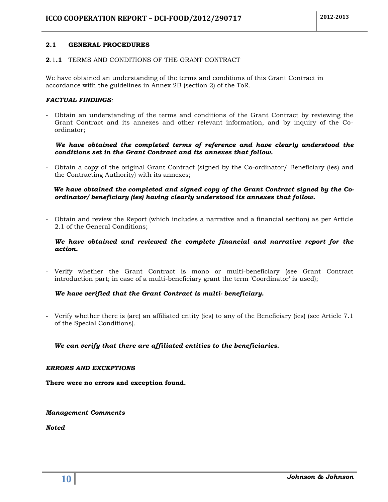#### <span id="page-9-0"></span>**2.1 GENERAL PROCEDURES**

#### <span id="page-9-1"></span>**2**.1**.1** TERMS AND CONDITIONS OF THE GRANT CONTRACT

We have obtained an understanding of the terms and conditions of this Grant Contract in accordance with the guidelines in Annex 2B (section 2) of the ToR.

#### *FACTUAL FINDINGS:*

- Obtain an understanding of the terms and conditions of the Grant Contract by reviewing the Grant Contract and its annexes and other relevant information, and by inquiry of the Coordinator;

#### *We have obtained the completed terms of reference and have clearly understood the conditions set in the Grant Contract and its annexes that follow.*

- Obtain a copy of the original Grant Contract (signed by the Co-ordinator/ Beneficiary (ies) and the Contracting Authority) with its annexes;

#### *We have obtained the completed and signed copy of the Grant Contract signed by the Coordinator/ beneficiary (ies) having clearly understood its annexes that follow.*

- Obtain and review the Report (which includes a narrative and a financial section) as per Article 2.1 of the General Conditions;

#### *We have obtained and reviewed the complete financial and narrative report for the action.*

- Verify whether the Grant Contract is mono or multi-beneficiary (see Grant Contract introduction part; in case of a multi-beneficiary grant the term 'Coordinator' is used);

#### *We have verified that the Grant Contract is multi- beneficiary.*

- Verify whether there is (are) an affiliated entity (ies) to any of the Beneficiary (ies) (see Article 7.1 of the Special Conditions).

#### *We can verify that there are affiliated entities to the beneficiaries.*

#### *ERRORS AND EXCEPTIONS*

**There were no errors and exception found.**

*Management Comments*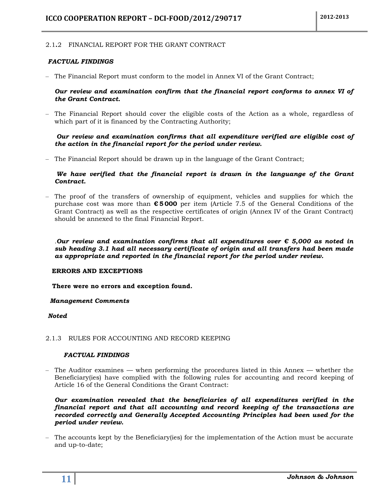#### <span id="page-10-0"></span>2.1**.**2 FINANCIAL REPORT FOR THE GRANT CONTRACT

#### *FACTUAL FINDINGS*

– The Financial Report must conform to the model in Annex VI of the Grant Contract;

#### *Our review and examination confirm that the financial report conforms to annex VI of the Grant Contract.*

– The Financial Report should cover the eligible costs of the Action as a whole, regardless of which part of it is financed by the Contracting Authority;

#### *Our review and examination confirms that all expenditure verified are eligible cost of the action in the financial report for the period under review.*

– The Financial Report should be drawn up in the language of the Grant Contract;

#### *We have verified that the financial report is drawn in the languange of the Grant Contract.*

– The proof of the transfers of ownership of equipment, vehicles and supplies for which the purchase cost was more than **€ 5 000** per item (Article 7.5 of the General Conditions of the Grant Contract) as well as the respective certificates of origin (Annex IV of the Grant Contract) should be annexed to the final Financial Report.

*.Our review and examination confirms that all expenditures over € 5,000 as noted in sub heading 3.1 had all necessary certificate of origin and all transfers had been made as appropriate and reported in the financial report for the period under review.*

#### **ERRORS AND EXCEPTIONS**

 **There were no errors and exception found.**

#### *Management Comments*

#### *Noted*

#### <span id="page-10-1"></span>2.1.3 RULES FOR ACCOUNTING AND RECORD KEEPING

#### *FACTUAL FINDINGS*

– The Auditor examines — when performing the procedures listed in this Annex — whether the Beneficiary(ies) have complied with the following rules for accounting and record keeping of Article 16 of the General Conditions the Grant Contract:

*Our examination revealed that the beneficiaries of all expenditures verified in the financial report and that all accounting and record keeping of the transactions are recorded correctly and Generally Accepted Accounting Principles had been used for the period under review.*

– The accounts kept by the Beneficiary(ies) for the implementation of the Action must be accurate and up-to-date;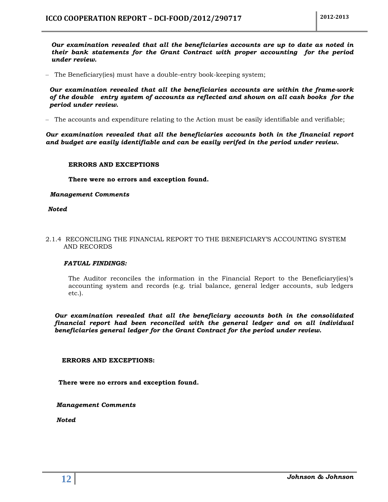*Our examination revealed that all the beneficiaries accounts are up to date as noted in their bank statements for the Grant Contract with proper accounting for the period under review.*

– The Beneficiary(ies) must have a double-entry book-keeping system;

*Our examination revealed that all the beneficiaries accounts are within the frame-work of the double entry system of accounts as reflected and shown on all cash books for the period under review.*

– The accounts and expenditure relating to the Action must be easily identifiable and verifiable;

*Our examination revealed that all the beneficiaries accounts both in the financial report and budget are easily identifiable and can be easily verifed in the period under review.*

#### **ERRORS AND EXCEPTIONS**

**There were no errors and exception found.**

#### *Management Comments*

*Noted*

#### <span id="page-11-0"></span>2.1.4 RECONCILING THE FINANCIAL REPORT TO THE BENEFICIARY'S ACCOUNTING SYSTEM AND RECORDS

#### *FATUAL FINDINGS:*

The Auditor reconciles the information in the Financial Report to the Beneficiary(ies)'s accounting system and records (e.g. trial balance, general ledger accounts, sub ledgers etc.).

*Our examination revealed that all the beneficiary accounts both in the consolidated financial report had been reconciled with the general ledger and on all individual beneficiaries general ledger for the Grant Contract for the period under review.*

#### **ERRORS AND EXCEPTIONS:**

 **There were no errors and exception found.**

 *Management Comments*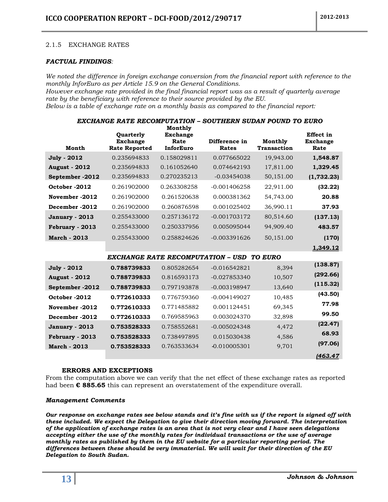#### <span id="page-12-0"></span>2.1.5 EXCHANGE RATES

#### *FACTUAL FINDINGS:*

*We noted the difference in foreign exchange conversion from the financial report with reference to the monthly InforEuro as per Article 15.9 on the General Conditions. However exchange rate provided in the final financial report was as a result of quarterly average* 

*rate by the beneficiary with reference to their source provided by the EU. Below is a table of exchange rate on a monthly basis as compared to the financial report:*

| EXCHANGE RATE RECOMPUTATION – SOUTHERN SUDAN POUND TO EURO |                                                             |                                                 |                                                  |                               |                                             |
|------------------------------------------------------------|-------------------------------------------------------------|-------------------------------------------------|--------------------------------------------------|-------------------------------|---------------------------------------------|
| Month                                                      | <b>Ouarterly</b><br><b>Exchange</b><br><b>Rate Reported</b> | Monthly<br><b>Exchange</b><br>Rate<br>InforEuro | Difference in<br>Rates                           | Monthly<br><b>Transaction</b> | <b>Effect</b> in<br><b>Exchange</b><br>Rate |
| <b>July - 2012</b>                                         | 0.235694833                                                 | 0.158029811                                     | 0.077665022                                      | 19,943.00                     | 1,548.87                                    |
| <b>August - 2012</b>                                       | 0.235694833                                                 | 0.161052640                                     | 0.074642193                                      | 17,811.00                     | 1,329.45                                    |
| September -2012                                            | 0.235694833                                                 | 0.270235213                                     | $-0.03454038$                                    | 50,151.00                     | (1,732.23)                                  |
| October -2012                                              | 0.261902000                                                 | 0.263308258                                     | $-0.001406258$                                   | 22,911.00                     | (32.22)                                     |
| November -2012                                             | 0.261902000                                                 | 0.261520638                                     | 0.000381362                                      | 54,743.00                     | 20.88                                       |
| December -2012                                             | 0.261902000                                                 | 0.260876598                                     | 0.001025402                                      | 36,990.11                     | 37.93                                       |
| January - 2013                                             | 0.255433000                                                 | 0.257136172                                     | $-0.001703172$                                   | 80,514.60                     | (137.13)                                    |
| February - 2013                                            | 0.255433000                                                 | 0.250337956                                     | 0.005095044                                      | 94,909.40                     | 483.57                                      |
| <b>March - 2013</b>                                        | 0.255433000                                                 | 0.258824626                                     | $-0.003391626$                                   | 50,151.00                     | (170)                                       |
|                                                            |                                                             |                                                 |                                                  |                               | 1,349.12                                    |
|                                                            |                                                             |                                                 | <b>EXCHANGE RATE RECOMPUTATION - USD TO EURO</b> |                               |                                             |
| <b>July - 2012</b>                                         | 0.788739833                                                 | 0.805282654                                     | $-0.016542821$                                   | 8,394                         | (138.87)                                    |
| <b>August - 2012</b>                                       | 0.788739833                                                 | 0.816593173                                     | $-0.027853340$                                   | 10,507                        | (292.66)                                    |
| September -2012                                            | 0.788739833                                                 | 0.797193878                                     | $-0.003198947$                                   | 13,640                        | (115.32)                                    |
| October -2012                                              | 0.772610333                                                 | 0.776759360                                     | $-0.004149027$                                   | 10,485                        | (43.50)                                     |
| November -2012                                             | 0.772610333                                                 | 0.771485882                                     | 0.001124451                                      | 69,345                        | 77.98                                       |
| December -2012                                             | 0.772610333                                                 | 0.769585963                                     | 0.003024370                                      | 32,898                        | 99.50                                       |
| <b>January - 2013</b>                                      | 0.753528333                                                 | 0.758552681                                     | $-0.005024348$                                   | 4,472                         | (22.47)                                     |
| February - 2013                                            | 0.753528333                                                 | 0.738497895                                     | 0.015030438                                      | 4,586                         | 68.93                                       |
| <b>March - 2013</b>                                        | 0.753528333                                                 | 0.763533634                                     | $-0.010005301$                                   | 9,701                         | (97.06)                                     |
|                                                            |                                                             |                                                 |                                                  |                               | 1463.47                                     |

#### **ERRORS AND EXCEPTIONS**

From the computation above we can verify that the net effect of these exchange rates as reported had been **€ 885.65** this can represent an overstatement of the expenditure overall.

#### *Management Comments*

*Our response on exchange rates see below stands and it's fine with us if the report is signed off with these included. We expect the Delegation to give their direction moving forward. The interpretation of the application of exchange rates is an area that is not very clear and I have seen delegations accepting either the use of the monthly rates for individual transactions or the use of average monthly rates as published by them in the EU website for a particular reporting period. The differences between these should be very immaterial. We will wait for their direction of the EU Delegation to South Sudan.*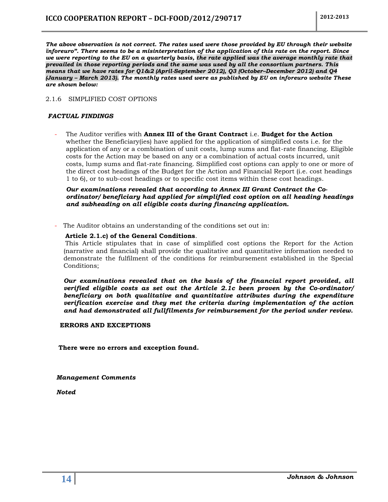*The above observation is not correct. The rates used were those provided by EU through their website ïnforeuro". There seems to be a misinterpretation of the application of this rate on the report. Since we were reporting to the EU on a quarterly basis, the rate applied was the average monthly rate that prevailed in those reporting periods and the same was used by all the consortium partners. This means that we have rates for Q1&2 (April-September 2012), Q3 (October–December 2012) and Q4 (January – March 2013). The monthly rates used were as published by EU on inforeuro website These are shown below:*

#### <span id="page-13-0"></span>2.1.6 SIMPLIFIED COST OPTIONS

#### *FACTUAL FINDINGS*

- The Auditor verifies with **Annex III of the Grant Contract** i.e. **Budget for the Action**  whether the Beneficiary(ies) have applied for the application of simplified costs i.e. for the application of any or a combination of unit costs, lump sums and flat-rate financing. Eligible costs for the Action may be based on any or a combination of actual costs incurred, unit costs, lump sums and flat-rate financing. Simplified cost options can apply to one or more of the direct cost headings of the Budget for the Action and Financial Report (i.e. cost headings 1 to 6), or to sub-cost headings or to specific cost items within these cost headings.

*Our examinations revealed that according to Annex III Grant Contract the Coordinator/ beneficiary had applied for simplified cost option on all heading headings and subheading on all eligible costs during financing application.*

The Auditor obtains an understanding of the conditions set out in:

#### **Article 2.1.c) of the General Conditions**.

This Article stipulates that in case of simplified cost options the Report for the Action (narrative and financial) shall provide the qualitative and quantitative information needed to demonstrate the fulfilment of the conditions for reimbursement established in the Special Conditions;

*Our examinations revealed that on the basis of the financial report provided, all verified eligible costs as set out the Article 2.1c been proven by the Co-ordinator/ beneficiary on both qualitative and quantitative attributes during the expenditure verification exercise and they met the criteria during implementation of the action and had demonstrated all fullfilments for reimbursement for the period under review.*

#### **ERRORS AND EXCEPTIONS**

 **There were no errors and exception found.**

 *Management Comments*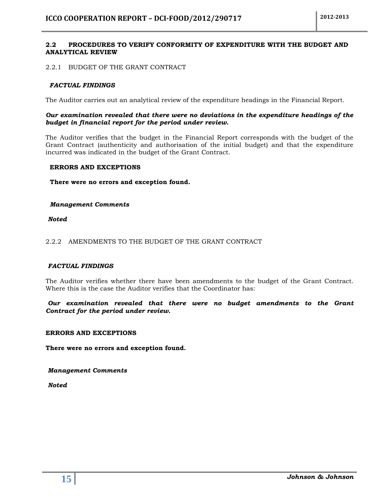#### <span id="page-14-0"></span>**2.2 PROCEDURES TO VERIFY CONFORMITY OF EXPENDITURE WITH THE BUDGET AND ANALYTICAL REVIEW**

#### <span id="page-14-1"></span>2.2.1 BUDGET OF THE GRANT CONTRACT

#### *FACTUAL FINDINGS*

The Auditor carries out an analytical review of the expenditure headings in the Financial Report.

#### *Our examination revealed that there were no deviations in the expenditure headings of the budget in financial report for the period under review.*

The Auditor verifies that the budget in the Financial Report corresponds with the budget of the Grant Contract (authenticity and authorisation of the initial budget) and that the expenditure incurred was indicated in the budget of the Grant Contract.

#### **ERRORS AND EXCEPTIONS**

#### **There were no errors and exception found.**

#### *Management Comments*

*Noted*

#### <span id="page-14-2"></span>2.2.2 AMENDMENTS TO THE BUDGET OF THE GRANT CONTRACT

#### *FACTUAL FINDINGS*

The Auditor verifies whether there have been amendments to the budget of the Grant Contract. Where this is the case the Auditor verifies that the Coordinator has:

*Our examination revealed that there were no budget amendments to the Grant Contract for the period under review.*

#### **ERRORS AND EXCEPTIONS**

**There were no errors and exception found.**

*Management Comments*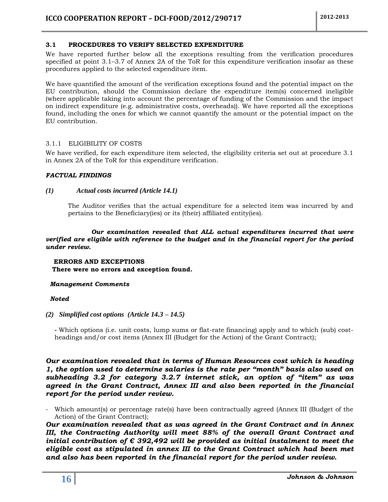#### <span id="page-15-0"></span>**3.1 PROCEDURES TO VERIFY SELECTED EXPENDITURE**

We have reported further below all the exceptions resulting from the verification procedures specified at point 3.1–3.7 of Annex 2A of the ToR for this expenditure verification insofar as these procedures applied to the selected expenditure item.

We have quantified the amount of the verification exceptions found and the potential impact on the EU contribution, should the Commission declare the expenditure item(s) concerned ineligible (where applicable taking into account the percentage of funding of the Commission and the impact on indirect expenditure (e.g. administrative costs, overheads)). We have reported all the exceptions found, including the ones for which we cannot quantify the amount or the potential impact on the EU contribution.

#### <span id="page-15-1"></span>3.1.1 ELIGIBILITY OF COSTS

We have verified, for each expenditure item selected, the eligibility criteria set out at procedure 3.1 in Annex 2A of the ToR for this expenditure verification.

#### *FACTUAL FINDINGS*

#### *(1) Actual costs incurred (Article 14.1)*

The Auditor verifies that the actual expenditure for a selected item was incurred by and pertains to the Beneficiary(ies) or its (their) affiliated entity(ies).

*Our examination revealed that ALL actual expenditures incurred that were verified are eligible with reference to the budget and in the financial report for the period under review.*

#### **ERRORS AND EXCEPTIONS There were no errors and exception found.**

#### *Management Comments*

#### *Noted*

#### *(2) Simplified cost options (Article 14.3 – 14.5)*

*-* Which options (i.e. unit costs, lump sums or flat-rate financing) apply and to which (sub) costheadings and/or cost items (Annex III (Budget for the Action) of the Grant Contract);

*Our examination revealed that in terms of Human Resources cost which is heading 1, the option used to determine salaries is the rate per "month" basis also used on subheading 3.2 for category 3.2.7 internet stick, an option of "item" as was agreed in the Grant Contract, Annex III and also been reported in the financial report for the period under review.*

- Which amount(s) or percentage rate(s) have been contractually agreed (Annex III (Budget of the Action) of the Grant Contract);

*Our examination revealed that as was agreed in the Grant Contract and in Annex*  III, the Contracting Authority will meet 88% of the overall Grant Contract and *initial contribution of € 392,492 will be provided as initial instalment to meet the eligible cost as stipulated in annex III to the Grant Contract which had been met and also has been reported in the financial report for the period under review.*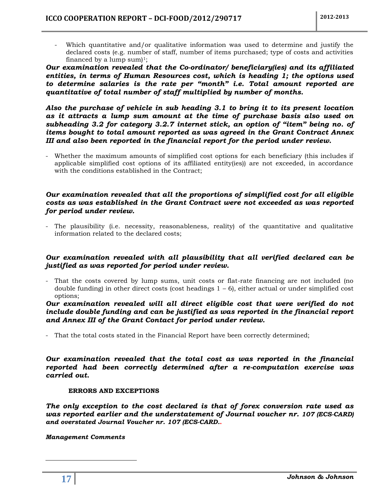Which quantitative and/or qualitative information was used to determine and justify the declared costs (e.g. number of staff, number of items purchased; type of costs and activities financed by a lump sum $]$ <sup>1</sup>;

*Our examination revealed that the Co-ordinator/ beneficiary(ies) and its affiliated entities, in terms of Human Resources cost, which is heading 1; the options used to determine salaries is the rate per "month" i.e. Total amount reported are quantitative of total number of staff multiplied by number of months.*

*Also the purchase of vehicle in sub heading 3.1 to bring it to its present location as it attracts a lump sum amount at the time of purchase basis also used on subheading 3.2 for category 3.2.7 internet stick, an option of "item" being no. of items bought to total amount reported as was agreed in the Grant Contract Annex III and also been reported in the financial report for the period under review.*

- Whether the maximum amounts of simplified cost options for each beneficiary (this includes if applicable simplified cost options of its affiliated entity(ies)) are not exceeded, in accordance with the conditions established in the Contract;

#### *Our examination revealed that all the proportions of simplified cost for all eligible costs as was established in the Grant Contract were not exceeded as was reported for period under review.*

- The plausibility (i.e. necessity, reasonableness, reality) of the quantitative and qualitative information related to the declared costs;

#### *Our examination revealed with all plausibility that all verified declared can be justified as was reported for period under review.*

- That the costs covered by lump sums, unit costs or flat-rate financing are not included (no double funding) in other direct costs (cost headings  $1 - 6$ ), either actual or under simplified cost options;

#### *Our examination revealed will all direct eligible cost that were verified do not include double funding and can be justified as was reported in the financial report and Annex III of the Grant Contact for period under review.*

- That the total costs stated in the Financial Report have been correctly determined;

*Our examination revealed that the total cost as was reported in the financial reported had been correctly determined after a re-computation exercise was carried out.*

#### **ERRORS AND EXCEPTIONS**

*The only exception to the cost declared is that of forex conversion rate used as was reported earlier and the understatement of Journal voucher nr. 107 (ECS-CARD) and overstated Journal Voucher nr. 107 (ECS-CARD.***.**

*Management Comments*

 $\overline{a}$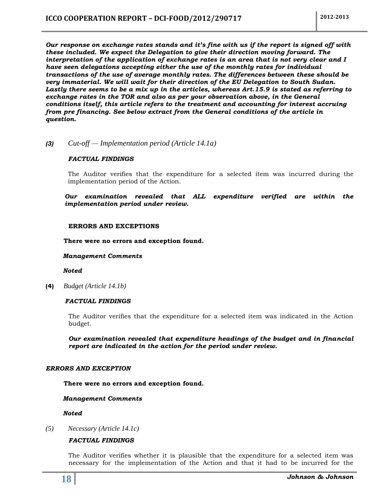*Our response on exchange rates stands and it's fine with us if the report is signed off with these included. We expect the Delegation to give their direction moving forward. The interpretation of the application of exchange rates is an area that is not very clear and I have seen delegations accepting either the use of the monthly rates for individual transactions of the use of average monthly rates. The differences between these should be very immaterial. We will wait for their direction of the EU Delegation to South Sudan. Lastly there seems to be a mix up in the articles, whereas Art.15.9 is stated as referring to exchange rates in the TOR and also as per your observation above, in the General*  conditions itself, this article refers to the treatment and accounting for interest accruing *from pre financing. See below extract from the General conditions of the article in question.*

*(3) Cut-off — Implementation period (Article 14.1a)*

#### *FACTUAL FINDINGS*

The Auditor verifies that the expenditure for a selected item was incurred during the implementation period of the Action.

*Our examination revealed that ALL expenditure verified are within the implementation period under review.*

#### **ERRORS AND EXCEPTIONS**

**There were no errors and exception found.**

#### *Management Comments*

 *Noted*

**(4)** *Budget (Article 14.1b)*

#### *FACTUAL FINDINGS*

The Auditor verifies that the expenditure for a selected item was indicated in the Action budget.

*Our examination revealed that expenditure headings of the budget and in financial report are indicated in the action for the period under review.*

#### *ERRORS AND EXCEPTION*

**There were no errors and exception found.**

#### *Management Comments*

 *Noted*

*(5) Necessary (Article 14.1c)*

#### *FACTUAL FINDINGS*

The Auditor verifies whether it is plausible that the expenditure for a selected item was necessary for the implementation of the Action and that it had to be incurred for the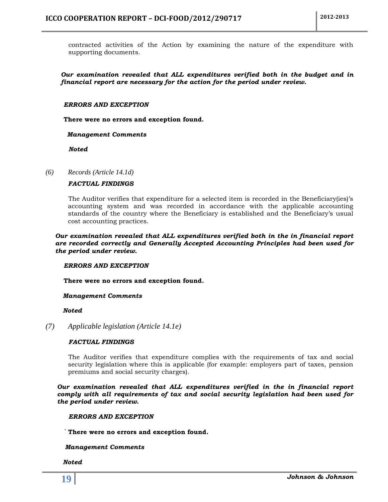contracted activities of the Action by examining the nature of the expenditure with supporting documents.

#### *Our examination revealed that ALL expenditures verified both in the budget and in financial report are necessary for the action for the period under review.*

#### *ERRORS AND EXCEPTION*

**There were no errors and exception found.**

#### *Management Comments*

*Noted*

#### *(6) Records (Article 14.1d)*

#### *FACTUAL FINDINGS*

The Auditor verifies that expenditure for a selected item is recorded in the Beneficiary(ies)'s accounting system and was recorded in accordance with the applicable accounting standards of the country where the Beneficiary is established and the Beneficiary's usual cost accounting practices.

*Our examination revealed that ALL expenditures verified both in the in financial report are recorded correctly and Generally Accepted Accounting Principles had been used for the period under review.*

#### *ERRORS AND EXCEPTION*

**There were no errors and exception found.**

#### *Management Comments*

#### *Noted*

*(7) Applicable legislation (Article 14.1e)*

#### *FACTUAL FINDINGS*

The Auditor verifies that expenditure complies with the requirements of tax and social security legislation where this is applicable (for example: employers part of taxes, pension premiums and social security charges).

*Our examination revealed that ALL expenditures verified in the in financial report comply with all requirements of tax and social security legislation had been used for the period under review.*

#### *ERRORS AND EXCEPTION*

*`* **There were no errors and exception found.**

#### *Management Comments*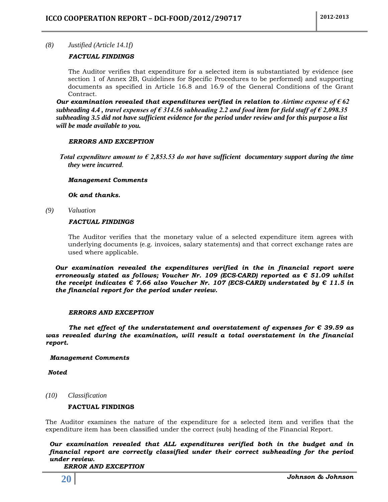#### *(8) Justified (Article 14.1f)*

#### *FACTUAL FINDINGS*

The Auditor verifies that expenditure for a selected item is substantiated by evidence (see section 1 of Annex 2B, Guidelines for Specific Procedures to be performed) and supporting documents as specified in Article 16.8 and 16.9 of the General Conditions of the Grant Contract.

*Our examination revealed that expenditures verified in relation to Airtime expense of € 62 subheading 4.4 , travel expenses of € 314.56 subheading 2.2 and food item for field staff of € 2,098.35 subheading 3.5 did not have sufficient evidence for the period under review and for this purpose a list will be made available to you.*

#### *ERRORS AND EXCEPTION*

 *Total expenditure amount to € 2,853.53 do not have sufficient documentary support during the time they were incurred.*

#### *Management Comments*

*Ok and thanks.*

*(9) Valuation*

#### *FACTUAL FINDINGS*

The Auditor verifies that the monetary value of a selected expenditure item agrees with underlying documents (e.g. invoices, salary statements) and that correct exchange rates are used where applicable.

*Our examination revealed the expenditures verified in the in financial report were erroneously stated as follows; Voucher Nr. 109 (ECS-CARD) reported as € 51.09 whilst the receipt indicates € 7.66 also Voucher Nr. 107 (ECS-CARD) understated by € 11.5 in the financial report for the period under review.*

#### *ERRORS AND EXCEPTION*

*The net effect of the understatement and overstatement of expenses for € 39.59 as was revealed during the examination, will result a total overstatement in the financial report.* 

#### *Management Comments*

*Noted*

*(10) Classification*

#### **FACTUAL FINDINGS**

The Auditor examines the nature of the expenditure for a selected item and verifies that the expenditure item has been classified under the correct (sub) heading of the Financial Report.

*Our examination revealed that ALL expenditures verified both in the budget and in financial report are correctly classified under their correct subheading for the period under review.*

*ERROR AND EXCEPTION*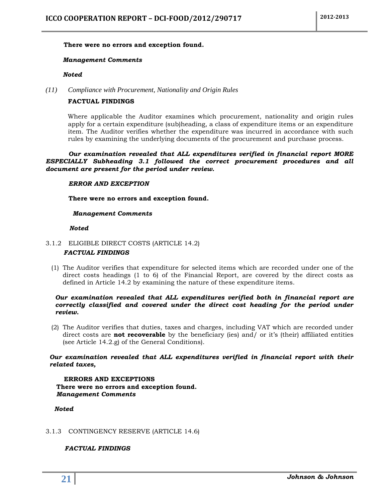#### **There were no errors and exception found.**

#### *Management Comments*

#### *Noted*

*(11) Compliance with Procurement, Nationality and Origin Rules*

#### **FACTUAL FINDINGS**

Where applicable the Auditor examines which procurement, nationality and origin rules apply for a certain expenditure (sub)heading, a class of expenditure items or an expenditure item. The Auditor verifies whether the expenditure was incurred in accordance with such rules by examining the underlying documents of the procurement and purchase process.

*Our examination revealed that ALL expenditures verified in financial report MORE ESPECIALLY Subheading 3.1 followed the correct procurement procedures and all document are present for the period under review.*

#### *ERROR AND EXCEPTION*

**There were no errors and exception found.**

#### *Management Comments*

#### *Noted*

#### <span id="page-20-0"></span>3.1.2 ELIGIBLE DIRECT COSTS (ARTICLE 14.2) *FACTUAL FINDINGS*

(1) The Auditor verifies that expenditure for selected items which are recorded under one of the direct costs headings (1 to 6) of the Financial Report, are covered by the direct costs as defined in Article 14.2 by examining the nature of these expenditure items.

#### *Our examination revealed that ALL expenditures verified both in financial report are correctly classified and covered under the direct cost heading for the period under review.*

(2) The Auditor verifies that duties, taxes and charges, including VAT which are recorded under direct costs are **not recoverable** by the beneficiary (ies) and/ or it's (their) affiliated entities (see Article 14.2.g) of the General Conditions).

#### *Our examination revealed that ALL expenditures verified in financial report with their related taxes,*

 **ERRORS AND EXCEPTIONS There were no errors and exception found.**  *Management Comments*

#### *Noted*

#### <span id="page-20-1"></span>3.1.3 CONTINGENCY RESERVE (ARTICLE 14.6)

#### *FACTUAL FINDINGS*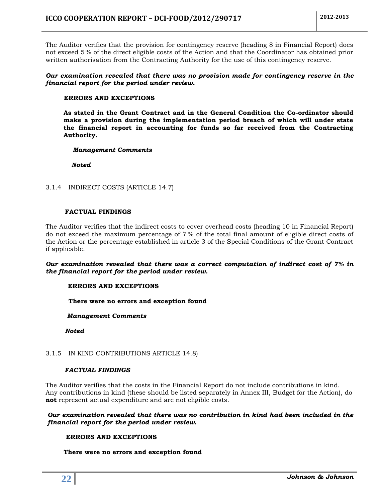The Auditor verifies that the provision for contingency reserve (heading 8 in Financial Report) does not exceed 5 % of the direct eligible costs of the Action and that the Coordinator has obtained prior written authorisation from the Contracting Authority for the use of this contingency reserve.

#### *Our examination revealed that there was no provision made for contingency reserve in the financial report for the period under review.*

#### **ERRORS AND EXCEPTIONS**

**As stated in the Grant Contract and in the General Condition the Co-ordinator should make a provision during the implementation period breach of which will under state the financial report in accounting for funds so far received from the Contracting Authority.**

#### *Management Comments*

 *Noted*

#### <span id="page-21-0"></span>3.1.4 INDIRECT COSTS (ARTICLE 14.7)

#### **FACTUAL FINDINGS**

The Auditor verifies that the indirect costs to cover overhead costs (heading 10 in Financial Report) do not exceed the maximum percentage of 7 % of the total final amount of eligible direct costs of the Action or the percentage established in article 3 of the Special Conditions of the Grant Contract if applicable.

#### *Our examination revealed that there was a correct computation of indirect cost of 7% in the financial report for the period under review.*

#### **ERRORS AND EXCEPTIONS**

**There were no errors and exception found**

#### *Management Comments*

 *Noted*

#### <span id="page-21-1"></span>3.1.5 IN KIND CONTRIBUTIONS ARTICLE 14.8)

#### *FACTUAL FINDINGS*

The Auditor verifies that the costs in the Financial Report do not include contributions in kind. Any contributions in kind (these should be listed separately in Annex III, Budget for the Action), do **not** represent actual expenditure and are not eligible costs.

#### *Our examination revealed that there was no contribution in kind had been included in the financial report for the period under review.*

#### **ERRORS AND EXCEPTIONS**

#### **There were no errors and exception found**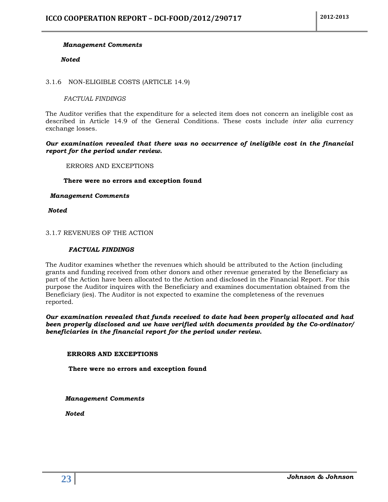#### *Management Comments*

#### *Noted*

#### <span id="page-22-0"></span>3.1.6 NON-ELIGIBLE COSTS (ARTICLE 14.9)

#### *FACTUAL FINDINGS*

The Auditor verifies that the expenditure for a selected item does not concern an ineligible cost as described in Article 14.9 of the General Conditions. These costs include *inter alia* currency exchange losses.

#### *Our examination revealed that there was no occurrence of ineligible cost in the financial report for the period under review.*

#### ERRORS AND EXCEPTIONS

#### **There were no errors and exception found**

#### *Management Comments*

*Noted*

#### <span id="page-22-1"></span>3.1.7 REVENUES OF THE ACTION

#### *FACTUAL FINDINGS*

The Auditor examines whether the revenues which should be attributed to the Action (including grants and funding received from other donors and other revenue generated by the Beneficiary as part of the Action have been allocated to the Action and disclosed in the Financial Report. For this purpose the Auditor inquires with the Beneficiary and examines documentation obtained from the Beneficiary (ies). The Auditor is not expected to examine the completeness of the revenues reported.

*Our examination revealed that funds received to date had been properly allocated and had been properly disclosed and we have verified with documents provided by the Co-ordinator/ beneficiaries in the financial report for the period under review.*

#### **ERRORS AND EXCEPTIONS**

**There were no errors and exception found**

 *Management Comments*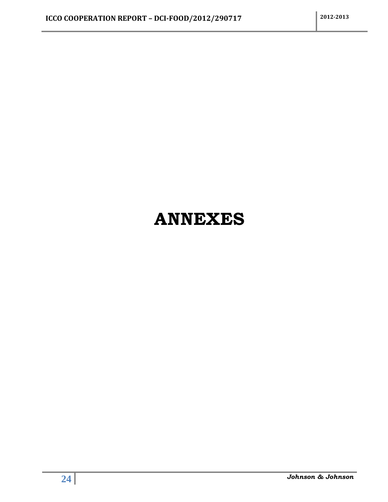# <span id="page-23-0"></span>**ANNEXES**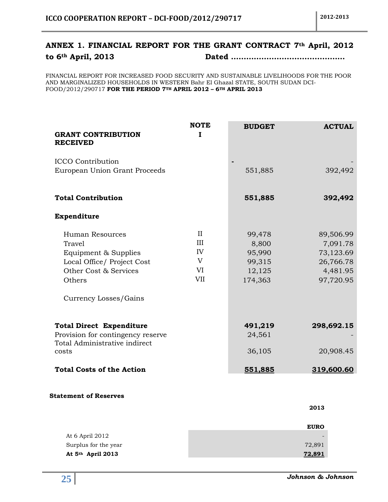## <span id="page-24-0"></span>**ANNEX 1. FINANCIAL REPORT FOR THE GRANT CONTRACT 7th April, 2012 to 6th April, 2013 Dated ………………………………………**

FINANCIAL REPORT FOR INCREASED FOOD SECURITY AND SUSTAINABLE LIVELIHOODS FOR THE POOR AND MARGINALIZED HOUSEHOLDS IN WESTERN Bahr El Ghazal STATE, SOUTH SUDAN DCI-FOOD/2012/290717 **FOR THE PERIOD 7TH APRIL 2012 – 6TH APRIL 2013**

| <b>GRANT CONTRIBUTION</b><br><b>RECEIVED</b>                                                                                                | <b>NOTE</b><br>$\bf{I}$                            | <b>BUDGET</b>                                            | <b>ACTUAL</b>                                                            |
|---------------------------------------------------------------------------------------------------------------------------------------------|----------------------------------------------------|----------------------------------------------------------|--------------------------------------------------------------------------|
| <b>ICCO</b> Contribution<br>European Union Grant Proceeds                                                                                   |                                                    | 551,885                                                  | 392,492                                                                  |
| <b>Total Contribution</b>                                                                                                                   |                                                    | 551,885                                                  | 392,492                                                                  |
| Expenditure                                                                                                                                 |                                                    |                                                          |                                                                          |
| Human Resources<br>Travel<br>Equipment & Supplies<br>Local Office/ Project Cost<br>Other Cost & Services<br>Others<br>Currency Losses/Gains | $\mathbf{I}$<br>III<br>IV<br>V<br>VI<br><b>VII</b> | 99,478<br>8,800<br>95,990<br>99,315<br>12,125<br>174,363 | 89,506.99<br>7,091.78<br>73,123.69<br>26,766.78<br>4,481.95<br>97,720.95 |
| <b>Total Direct Expenditure</b><br>Provision for contingency reserve<br>Total Administrative indirect<br>costs                              |                                                    | 491,219<br>24,561<br>36,105                              | 298,692.15<br>20,908.45                                                  |
| <b>Total Costs of the Action</b>                                                                                                            |                                                    | 551,885                                                  | 319,600.60                                                               |
| <b>Statement of Reserves</b>                                                                                                                |                                                    |                                                          |                                                                          |

|                      | 2013        |
|----------------------|-------------|
|                      |             |
|                      | <b>EURO</b> |
| At 6 April 2012      |             |
| Surplus for the year | 72,891      |
| At 5th April 2013    | 72,891      |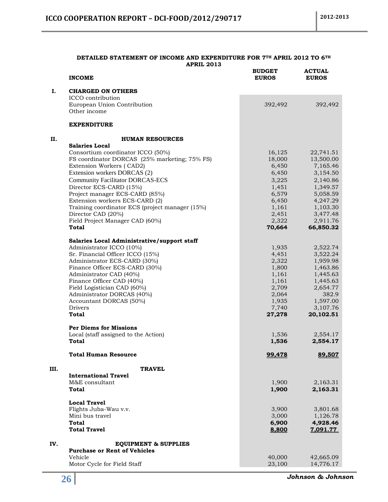#### **DETAILED STATEMENT OF INCOME AND EXPENDITURE FOR 7TH APRIL 2012 TO 6TH APRIL 2013 BUDGET ACTUAL**

|      | <b>INCOME</b>                                                      | <b>BUDGET</b><br><b>EUROS</b> | <b>ACTUAL</b><br><b>EUROS</b> |
|------|--------------------------------------------------------------------|-------------------------------|-------------------------------|
| Ι.   | <b>CHARGED ON OTHERS</b>                                           |                               |                               |
|      | ICCO contribution                                                  |                               |                               |
|      | European Union Contribution                                        | 392,492                       | 392,492                       |
|      | Other income                                                       |                               |                               |
|      | <b>EXPENDITURE</b>                                                 |                               |                               |
| П.   | <b>HUMAN RESOURCES</b>                                             |                               |                               |
|      | <b>Salaries Local</b>                                              |                               |                               |
|      | Consortium coordinator ICCO (50%)                                  | 16,125                        | 22,741.51                     |
|      | FS coordinator DORCAS (25% marketing; 75% FS)                      | 18,000                        | 13,500.00                     |
|      | Extension Workers (CAD2)<br>Extension workers DORCAS (2)           | 6,450                         | 7,165.46                      |
|      |                                                                    | 6,450                         | 3,154.50                      |
|      | <b>Community Facilitator DORCAS-ECS</b><br>Director ECS-CARD (15%) | 3,225<br>1,451                | 2,140.86<br>1,349.57          |
|      | Project manager ECS-CARD (85%)                                     | 6,579                         | 5,058.59                      |
|      | Extension workers ECS-CARD (2)                                     | 6,450                         | 4,247.29                      |
|      | Training coordinator ECS (project manager (15%)                    | 1,161                         | 1,103.30                      |
|      | Director CAD (20%)                                                 | 2,451                         | 3,477.48                      |
|      | Field Project Manager CAD (60%)                                    | 2,322                         | 2,911.76                      |
|      | Total                                                              | 70,664                        | 66,850.32                     |
|      | Salaries Local Administrative/support staff                        |                               |                               |
|      | Administrator ICCO (10%)                                           | 1,935                         | 2,522.74                      |
|      | Sr. Financial Officer ICCO (15%)                                   | 4,451                         | 3,522.24                      |
|      | Administrator ECS-CARD (30%)                                       | 2,322                         | 1,959.98                      |
|      | Finance Officer ECS-CARD (30%)                                     | 1,800                         | 1,463.86                      |
|      | Administrator CAD (40%)                                            | 1,161                         | 1,445.63                      |
|      | Finance Officer CAD (40%)                                          | 1,161                         | 1,445.63                      |
|      | Field Logistician CAD (60%)                                        | 2,709                         | 2,654.77                      |
|      | Administrator DORCAS (40%)                                         | 2,064                         | 382.9                         |
|      | Accountant DORCAS (50%)                                            | 1,935                         | 1,597.00                      |
|      | Drivers                                                            | 7,740                         | 3,107.76                      |
|      | Total                                                              | 27,278                        | 20,102.51                     |
|      | <b>Per Diems for Missions</b>                                      |                               |                               |
|      | Local (staff assigned to the Action)<br>Total                      | 1,536                         | 2,554.17<br>2,554.17          |
|      |                                                                    | 1,536                         |                               |
|      | <b>Total Human Resource</b>                                        | 99,478                        | 89,507                        |
| III. | <b>TRAVEL</b>                                                      |                               |                               |
|      | <b>International Travel</b>                                        |                               |                               |
|      | M&E consultant                                                     | 1,900                         | 2,163.31                      |
|      | <b>Total</b>                                                       | 1,900                         | 2,163.31                      |
|      | <b>Local Travel</b>                                                |                               |                               |
|      | Flights Juba-Wau v.v.                                              | 3,900                         | 3,801.68                      |
|      | Mini bus travel                                                    | 3,000                         | 1,126.78                      |
|      | <b>Total</b>                                                       | 6,900                         | 4,928.46                      |
|      | <b>Total Travel</b>                                                | 8,800                         | 7,091.77                      |
| IV.  | <b>EQUIPMENT &amp; SUPPLIES</b>                                    |                               |                               |
|      | <b>Purchase or Rent of Vehicles</b>                                |                               |                               |
|      | Vehicle                                                            | 40,000                        | 42,665.09                     |
|      | Motor Cycle for Field Staff                                        | 23,100                        | 14,776.17                     |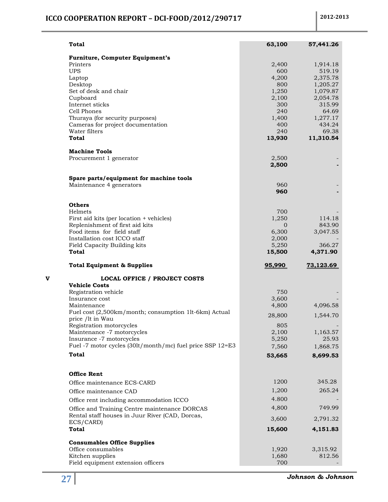|   | <b>Total</b>                                                  | 63,100         | 57,441.26          |
|---|---------------------------------------------------------------|----------------|--------------------|
|   | <b>Furniture, Computer Equipment's</b>                        |                |                    |
|   | Printers                                                      | 2,400          | 1,914.18           |
|   | <b>UPS</b>                                                    | 600<br>4,200   | 519.19<br>2,375.78 |
|   | Laptop<br>Desktop                                             | 800            | 1,205.27           |
|   | Set of desk and chair                                         | 1,250          | 1,079.87           |
|   | Cupboard                                                      | 2,100          | 2,054.78           |
|   | Internet sticks                                               | 300            | 315.99             |
|   | Cell Phones<br>Thuraya (for security purposes)                | 240            | 64.69              |
|   | Cameras for project documentation                             | 1,400<br>400   | 1,277.17<br>434.24 |
|   | Water filters                                                 | 240            | 69.38              |
|   | Total                                                         | 13,930         | 11,310.54          |
|   | <b>Machine Tools</b>                                          |                |                    |
|   | Procurement 1 generator                                       | 2,500<br>2,500 |                    |
|   | Spare parts/equipment for machine tools                       |                |                    |
|   | Maintenance 4 generators                                      | 960            |                    |
|   |                                                               | 960            |                    |
|   | <b>Others</b>                                                 |                |                    |
|   | Helmets                                                       | 700            |                    |
|   | First aid kits (per location + vehicles)                      | 1,250          | 114.18             |
|   | Replenishment of first aid kits<br>Food items for field staff | 0<br>6,300     | 843.90<br>3,047.55 |
|   | Installation cost ICCO staff                                  | 2,000          |                    |
|   | Field Capacity Building kits                                  | 5,250          | 366.27             |
|   | <b>Total</b>                                                  | 15,500         | 4,371.90           |
|   | <b>Total Equipment &amp; Supplies</b>                         | 95,990         | 73,123.69          |
| v | <b>LOCAL OFFICE / PROJECT COSTS</b>                           |                |                    |
|   | <b>Vehicle Costs</b>                                          | 750            |                    |
|   | Registration vehicle<br>Insurance cost                        | 3,600          |                    |
|   | Maintenance                                                   | 4,800          |                    |
|   |                                                               |                | 4,096.58           |
|   | Fuel cost (2,500km/month; consumption 1lt-6km) Actual         | 28,800         | 1,544.70           |
|   | price /lt in Wau<br>Registration motorcycles                  | 805            |                    |
|   | Maintenance -7 motorcycles                                    | 2,100          | 1,163.57           |
|   | Insurance -7 motorcycles                                      | 5,250          | 25.93              |
|   | Fuel -7 motor cycles (30lt/month/mc) fuel price SSP 12=E3     | 7,560          | 1,868.75           |
|   | <b>Total</b>                                                  | 53,665         | 8,699.53           |
|   | <b>Office Rent</b>                                            |                |                    |
|   | Office maintenance ECS-CARD                                   | 1200           | 345.28             |
|   | Office maintenance CAD                                        | 1,200          | 265.24             |
|   | Office rent including accommodation ICCO                      | 4.800          |                    |
|   | Office and Training Centre maintenance DORCAS                 | 4,800          | 749.99             |
|   | Rental staff houses in Juur River (CAD, Dorcas,               | 3,600          | 2,791.32           |
|   | ECS/CARD)<br>Total                                            | 15,600         | 4,151.83           |
|   | <b>Consumables Office Supplies</b>                            |                |                    |
|   | Office consumables<br>Kitchen supplies                        | 1,920<br>1,680 | 3,315.92<br>812.56 |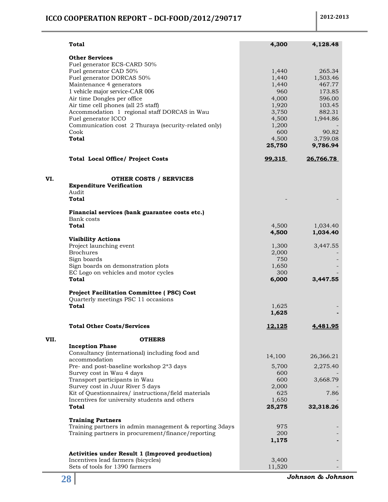## **ICCO COOPERATION REPORT – DCI-FOOD/2012/290717** 2012-2013

|      | Total                                                                      | 4,300          | 4,128.48             |
|------|----------------------------------------------------------------------------|----------------|----------------------|
|      | <b>Other Services</b>                                                      |                |                      |
|      | Fuel generator ECS-CARD 50%                                                |                |                      |
|      | Fuel generator CAD 50%                                                     | 1,440          | 265.34               |
|      | Fuel generator DORCAS 50%                                                  | 1,440          | 1,503.46             |
|      | Maintenance 4 generators                                                   | 1,440          | 467.77               |
|      | 1 vehicle major service-CAR 006<br>Air time Dongles per office             | 960<br>4,000   | 173.85<br>596.00     |
|      | Air time cell phones (all 25 staff)                                        | 1,920          | 103.45               |
|      | Accommodation 1 regional staff DORCAS in Wau                               | 3,750          | 882.31               |
|      | Fuel generator ICCO                                                        | 4,500          | 1,944.86             |
|      | Communication cost 2 Thuraya (security-related only)                       | 1,200          |                      |
|      | Cook<br><b>Total</b>                                                       | 600<br>4,500   | 90.82<br>3,759.08    |
|      |                                                                            | 25,750         | 9,786.94             |
|      | <b>Total Local Office/ Project Costs</b>                                   | 99,315         | 26,766.78            |
| VI.  | <b>OTHER COSTS / SERVICES</b>                                              |                |                      |
|      | <b>Expenditure Verification</b>                                            |                |                      |
|      | Audit                                                                      |                |                      |
|      | <b>Total</b>                                                               |                |                      |
|      | Financial services (bank guarantee costs etc.)                             |                |                      |
|      | Bank costs                                                                 |                |                      |
|      | <b>Total</b>                                                               | 4,500<br>4,500 | 1,034.40<br>1,034.40 |
|      | <b>Visibility Actions</b>                                                  |                |                      |
|      | Project launching event                                                    | 1,300          | 3,447.55             |
|      | <b>Brochures</b>                                                           | 2,000          |                      |
|      | Sign boards                                                                | 750            |                      |
|      | Sign boards on demonstration plots<br>EC Logo on vehicles and motor cycles | 1,650<br>300   |                      |
|      | Total                                                                      | 6,000          | 3,447.55             |
|      | <b>Project Facilitation Committee (PSC) Cost</b>                           |                |                      |
|      | Quarterly meetings PSC 11 occasions                                        |                |                      |
|      | <b>Total</b>                                                               | 1,625          |                      |
|      |                                                                            | 1,625          |                      |
|      | <b>Total Other Costs/Services</b>                                          | 12,125         | 4,481.95             |
| VII. | <b>OTHERS</b>                                                              |                |                      |
|      | <b>Inception Phase</b>                                                     |                |                      |
|      | Consultancy (international) including food and                             | 14,100         | 26,366.21            |
|      | accommodation                                                              |                |                      |
|      | Pre- and post-baseline workshop 2*3 days<br>Survey cost in Wau 4 days      | 5,700<br>600   | 2,275.40             |
|      | Transport participants in Wau                                              | 600            | 3,668.79             |
|      | Survey cost in Juur River 5 days                                           | 2,000          |                      |
|      | Kit of Questionnaires/ instructions/field materials                        | 625            | 7.86                 |
|      | Incentives for university students and others                              | 1,650          |                      |
|      | Total                                                                      | 25,275         | 32,318.26            |
|      | <b>Training Partners</b>                                                   |                |                      |
|      | Training partners in admin management & reporting 3days                    | 975            |                      |
|      | Training partners in procurement/finance/reporting                         | 200<br>1,175   |                      |
|      |                                                                            |                |                      |
|      | Activities under Result 1 (Improved production)                            |                |                      |
|      | Incentives lead farmers (bicycles)                                         | 3,400          |                      |
|      | Sets of tools for 1390 farmers                                             | 11,520         |                      |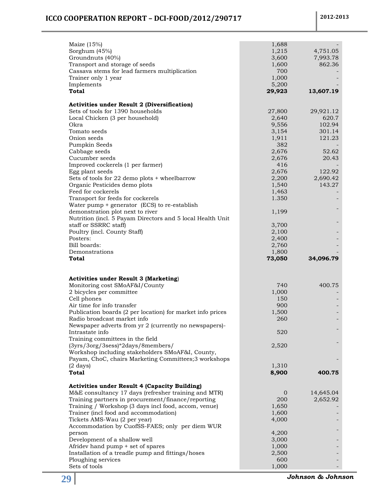## **ICCO COOPERATION REPORT – DCI-FOOD/2012/290717 2012-2013**

| Maize $(15%)$                                              | 1,688          |           |
|------------------------------------------------------------|----------------|-----------|
|                                                            |                |           |
| Sorghum (45%)                                              | 1,215          | 4,751.05  |
| Groundnuts (40%)                                           | 3,600          | 7,993.78  |
| Transport and storage of seeds                             | 1,600          | 862.36    |
| Cassava stems for lead farmers multiplication              | 700            |           |
| Trainer only 1 year                                        | 1,000          |           |
|                                                            |                |           |
| Implements                                                 | 5,200          |           |
| Total                                                      | 29,923         | 13,607.19 |
| <b>Activities under Result 2 (Diversification)</b>         |                |           |
| Sets of tools for 1390 households                          | 27,800         | 29,921.12 |
| Local Chicken (3 per household)                            | 2,640          | 620.7     |
|                                                            |                |           |
| Okra                                                       | 9,556          | 102.94    |
| Tomato seeds                                               | 3,154          | 301.14    |
| Onion seeds                                                | 1,911          | 121.23    |
| Pumpkin Seeds                                              | 382            |           |
| Cabbage seeds                                              | 2,676          | 52.62     |
| Cucumber seeds                                             | 2,676          | 20.43     |
| Improved cockerels (1 per farmer)                          | 416            |           |
|                                                            |                |           |
| Egg plant seeds                                            | 2,676          | 122.92    |
| Sets of tools for 22 demo plots + wheelbarrow              | 2,200          | 2,690.42  |
| Organic Pesticides demo plots                              | 1,540          | 143.27    |
| Feed for cockerels                                         | 1,463          |           |
| Transport for feeds for cockerels                          | 1.350          |           |
| Water pump $+$ generator (ECS) to re-establish             |                |           |
|                                                            |                |           |
| demonstration plot next to river                           | 1,199          |           |
| Nutrition (incl. 5 Payam Directors and 5 local Health Unit |                |           |
| staff or SSRRC staff)                                      | 3,700          |           |
| Poultry (incl. County Staff)                               | 2,100          |           |
| Posters:                                                   | 2,400          |           |
|                                                            |                |           |
|                                                            |                |           |
| Bill boards:                                               | 2,760          |           |
| Demonstrations                                             | 1,800          |           |
| Total                                                      | 73,050         | 34,096.79 |
|                                                            |                |           |
| <b>Activities under Result 3 (Marketing)</b>               |                |           |
| Monitoring cost SMoAF&I/County                             | 740            | 400.75    |
|                                                            |                |           |
| 2 bicycles per committee                                   | 1,000          |           |
| Cell phones                                                | 150            |           |
| Air time for info transfer                                 | 900            |           |
| Publication boards (2 per location) for market info prices | 1,500          |           |
| Radio broadcast market info                                | 260            |           |
| Newspaper adverts from yr 2 (currently no newspapers)-     |                |           |
| Intrastate info                                            | 520            |           |
|                                                            |                |           |
| Training committees in the field                           |                |           |
| (3yrs/3org/3sess)*2days/8members/                          | 2,520          |           |
| Workshop including stakeholders SMoAF&I, County,           |                |           |
| Payam, ChoC, chairs Marketing Committees;3 workshops       |                |           |
| $(2 \text{ days})$                                         | 1,310          |           |
| <b>Total</b>                                               | 8,900          | 400.75    |
|                                                            |                |           |
| <b>Activities under Result 4 (Capacity Building)</b>       |                |           |
| M&E consultancy 17 days (refresher training and MTR)       | $\overline{0}$ | 14,645.04 |
| Training partners in procurement/finance/reporting         | 200            | 2,652.92  |
| Training / Workshop (3 days incl food, accom, venue)       | 1,650          |           |
| Trainer (incl food and accommodation)                      | 1,600          |           |
|                                                            |                |           |
| Tickets AMS-Wau (2 per year)                               | 4,000          |           |
| Accommodation by CuofSS-FAES; only per diem WUR            |                |           |
| person                                                     | 4,200          |           |
| Development of a shallow well                              | 3,000          |           |
| Afridev hand pump + set of spares                          | 1,000          |           |
| Installation of a treadle pump and fittings/hoses          | 2,500          |           |
| Ploughing services                                         | 600            |           |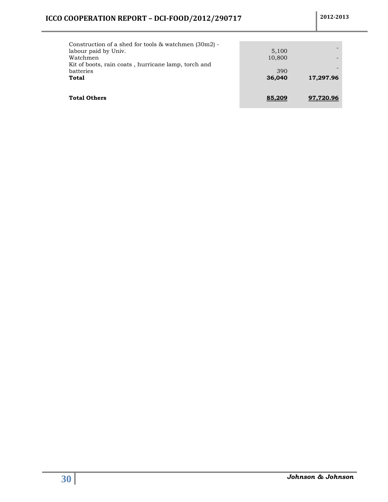| Construction of a shed for tools $&$ watchmen (30m2) -<br>labour paid by Univ. | 5,100  |           |
|--------------------------------------------------------------------------------|--------|-----------|
| Watchmen                                                                       | 10,800 |           |
| Kit of boots, rain coats, hurricane lamp, torch and                            |        |           |
| batteries                                                                      | 390    |           |
| Total                                                                          | 36,040 | 17,297.96 |
| <b>Total Others</b>                                                            | 85,209 | 97.720.96 |